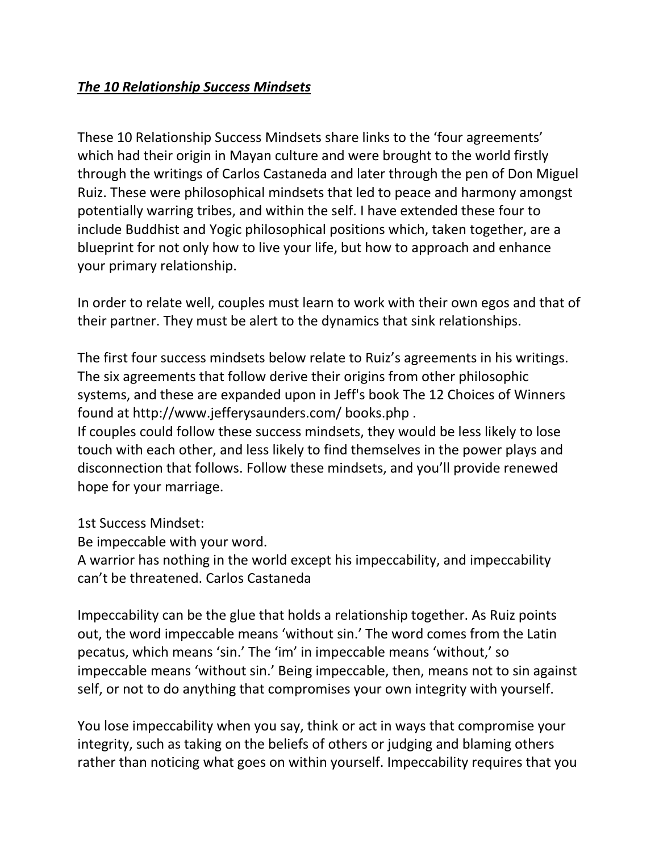## *The 10 Relationship Success Mindsets*

These 10 Relationship Success Mindsets share links to the 'four agreements' which had their origin in Mayan culture and were brought to the world firstly through the writings of Carlos Castaneda and later through the pen of Don Miguel Ruiz. These were philosophical mindsets that led to peace and harmony amongst potentially warring tribes, and within the self. I have extended these four to include Buddhist and Yogic philosophical positions which, taken together, are a blueprint for not only how to live your life, but how to approach and enhance your primary relationship.

In order to relate well, couples must learn to work with their own egos and that of their partner. They must be alert to the dynamics that sink relationships.

The first four success mindsets below relate to Ruiz's agreements in his writings. The six agreements that follow derive their origins from other philosophic systems, and these are expanded upon in Jeff's book The 12 Choices of Winners found at http://www.jefferysaunders.com/ books.php .

If couples could follow these success mindsets, they would be less likely to lose touch with each other, and less likely to find themselves in the power plays and disconnection that follows. Follow these mindsets, and you'll provide renewed hope for your marriage.

1st Success Mindset:

Be impeccable with your word.

A warrior has nothing in the world except his impeccability, and impeccability can't be threatened. Carlos Castaneda

Impeccability can be the glue that holds a relationship together. As Ruiz points out, the word impeccable means 'without sin.' The word comes from the Latin pecatus, which means 'sin.' The 'im' in impeccable means 'without,' so impeccable means 'without sin.' Being impeccable, then, means not to sin against self, or not to do anything that compromises your own integrity with yourself.

You lose impeccability when you say, think or act in ways that compromise your integrity, such as taking on the beliefs of others or judging and blaming others rather than noticing what goes on within yourself. Impeccability requires that you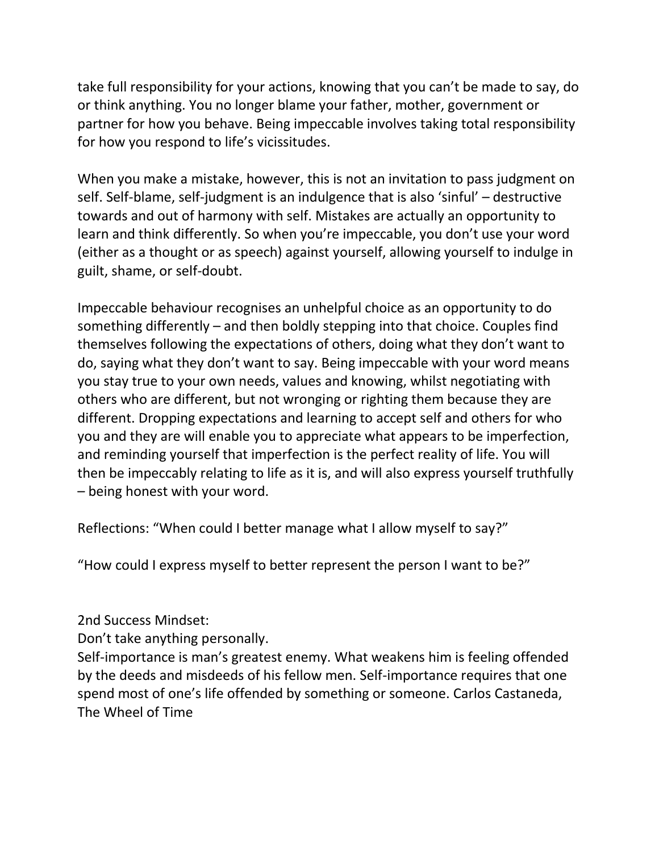take full responsibility for your actions, knowing that you can't be made to say, do or think anything. You no longer blame your father, mother, government or partner for how you behave. Being impeccable involves taking total responsibility for how you respond to life's vicissitudes.

When you make a mistake, however, this is not an invitation to pass judgment on self. Self-blame, self-judgment is an indulgence that is also 'sinful' – destructive towards and out of harmony with self. Mistakes are actually an opportunity to learn and think differently. So when you're impeccable, you don't use your word (either as a thought or as speech) against yourself, allowing yourself to indulge in guilt, shame, or self-doubt.

Impeccable behaviour recognises an unhelpful choice as an opportunity to do something differently – and then boldly stepping into that choice. Couples find themselves following the expectations of others, doing what they don't want to do, saying what they don't want to say. Being impeccable with your word means you stay true to your own needs, values and knowing, whilst negotiating with others who are different, but not wronging or righting them because they are different. Dropping expectations and learning to accept self and others for who you and they are will enable you to appreciate what appears to be imperfection, and reminding yourself that imperfection is the perfect reality of life. You will then be impeccably relating to life as it is, and will also express yourself truthfully – being honest with your word.

Reflections: "When could I better manage what I allow myself to say?"

"How could I express myself to better represent the person I want to be?"

2nd Success Mindset:

Don't take anything personally.

Self-importance is man's greatest enemy. What weakens him is feeling offended by the deeds and misdeeds of his fellow men. Self-importance requires that one spend most of one's life offended by something or someone. Carlos Castaneda, The Wheel of Time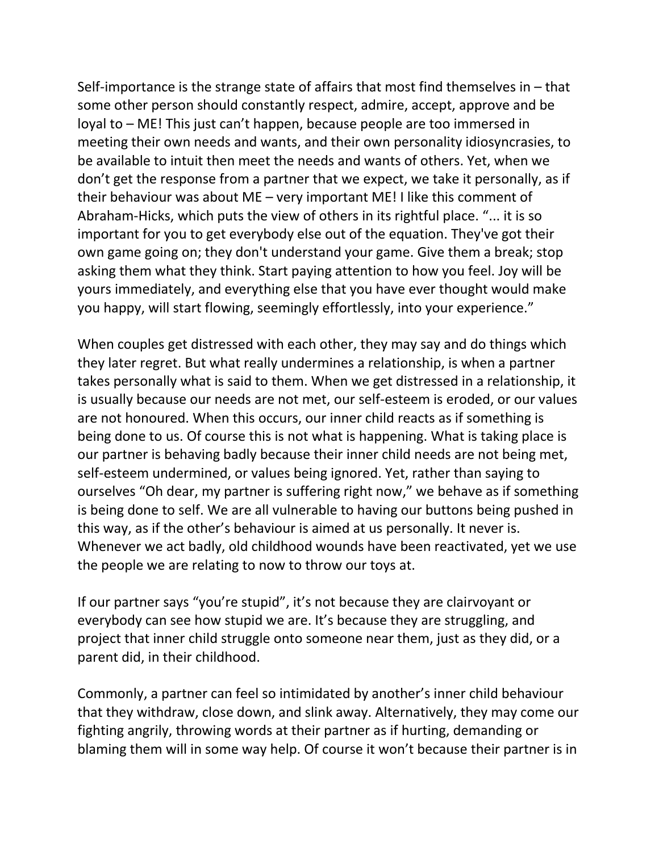Self-importance is the strange state of affairs that most find themselves in – that some other person should constantly respect, admire, accept, approve and be loyal to – ME! This just can't happen, because people are too immersed in meeting their own needs and wants, and their own personality idiosyncrasies, to be available to intuit then meet the needs and wants of others. Yet, when we don't get the response from a partner that we expect, we take it personally, as if their behaviour was about ME – very important ME! I like this comment of Abraham-Hicks, which puts the view of others in its rightful place. "... it is so important for you to get everybody else out of the equation. They've got their own game going on; they don't understand your game. Give them a break; stop asking them what they think. Start paying attention to how you feel. Joy will be yours immediately, and everything else that you have ever thought would make you happy, will start flowing, seemingly effortlessly, into your experience."

When couples get distressed with each other, they may say and do things which they later regret. But what really undermines a relationship, is when a partner takes personally what is said to them. When we get distressed in a relationship, it is usually because our needs are not met, our self-esteem is eroded, or our values are not honoured. When this occurs, our inner child reacts as if something is being done to us. Of course this is not what is happening. What is taking place is our partner is behaving badly because their inner child needs are not being met, self-esteem undermined, or values being ignored. Yet, rather than saying to ourselves "Oh dear, my partner is suffering right now," we behave as if something is being done to self. We are all vulnerable to having our buttons being pushed in this way, as if the other's behaviour is aimed at us personally. It never is. Whenever we act badly, old childhood wounds have been reactivated, yet we use the people we are relating to now to throw our toys at.

If our partner says "you're stupid", it's not because they are clairvoyant or everybody can see how stupid we are. It's because they are struggling, and project that inner child struggle onto someone near them, just as they did, or a parent did, in their childhood.

Commonly, a partner can feel so intimidated by another's inner child behaviour that they withdraw, close down, and slink away. Alternatively, they may come our fighting angrily, throwing words at their partner as if hurting, demanding or blaming them will in some way help. Of course it won't because their partner is in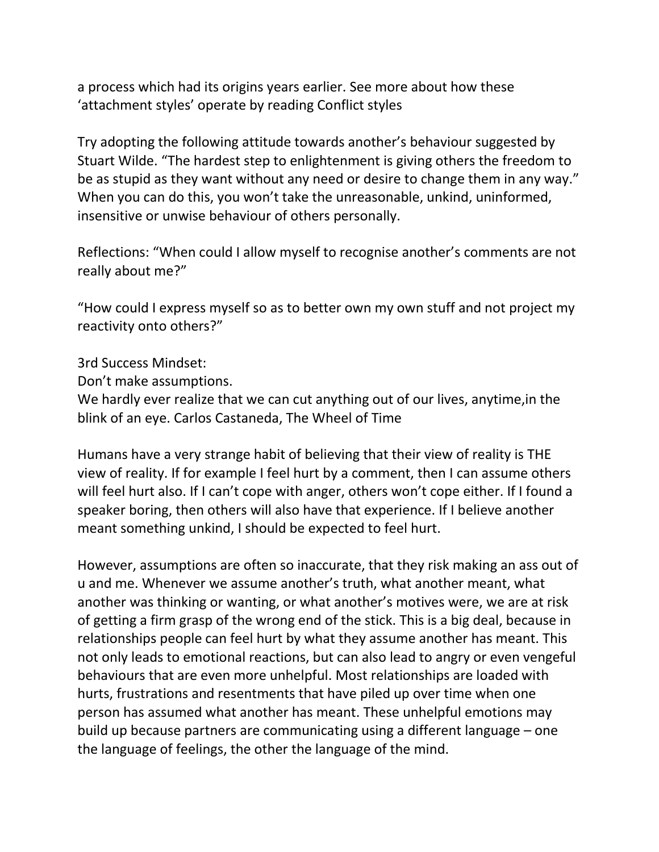a process which had its origins years earlier. See more about how these 'attachment styles' operate by reading Conflict styles

Try adopting the following attitude towards another's behaviour suggested by Stuart Wilde. "The hardest step to enlightenment is giving others the freedom to be as stupid as they want without any need or desire to change them in any way." When you can do this, you won't take the unreasonable, unkind, uninformed, insensitive or unwise behaviour of others personally.

Reflections: "When could I allow myself to recognise another's comments are not really about me?"

"How could I express myself so as to better own my own stuff and not project my reactivity onto others?"

3rd Success Mindset:

Don't make assumptions.

We hardly ever realize that we can cut anything out of our lives, anytime,in the blink of an eye. Carlos Castaneda, The Wheel of Time

Humans have a very strange habit of believing that their view of reality is THE view of reality. If for example I feel hurt by a comment, then I can assume others will feel hurt also. If I can't cope with anger, others won't cope either. If I found a speaker boring, then others will also have that experience. If I believe another meant something unkind, I should be expected to feel hurt.

However, assumptions are often so inaccurate, that they risk making an ass out of u and me. Whenever we assume another's truth, what another meant, what another was thinking or wanting, or what another's motives were, we are at risk of getting a firm grasp of the wrong end of the stick. This is a big deal, because in relationships people can feel hurt by what they assume another has meant. This not only leads to emotional reactions, but can also lead to angry or even vengeful behaviours that are even more unhelpful. Most relationships are loaded with hurts, frustrations and resentments that have piled up over time when one person has assumed what another has meant. These unhelpful emotions may build up because partners are communicating using a different language – one the language of feelings, the other the language of the mind.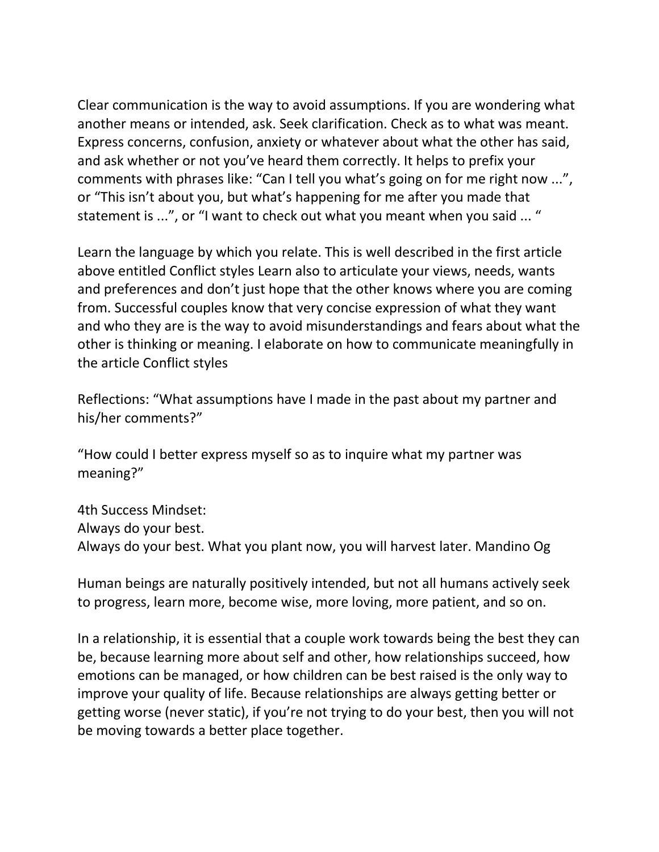Clear communication is the way to avoid assumptions. If you are wondering what another means or intended, ask. Seek clarification. Check as to what was meant. Express concerns, confusion, anxiety or whatever about what the other has said, and ask whether or not you've heard them correctly. It helps to prefix your comments with phrases like: "Can I tell you what's going on for me right now ...", or "This isn't about you, but what's happening for me after you made that statement is ...", or "I want to check out what you meant when you said ... "

Learn the language by which you relate. This is well described in the first article above entitled Conflict styles Learn also to articulate your views, needs, wants and preferences and don't just hope that the other knows where you are coming from. Successful couples know that very concise expression of what they want and who they are is the way to avoid misunderstandings and fears about what the other is thinking or meaning. I elaborate on how to communicate meaningfully in the article Conflict styles

Reflections: "What assumptions have I made in the past about my partner and his/her comments?"

"How could I better express myself so as to inquire what my partner was meaning?"

4th Success Mindset: Always do your best. Always do your best. What you plant now, you will harvest later. Mandino Og

Human beings are naturally positively intended, but not all humans actively seek to progress, learn more, become wise, more loving, more patient, and so on.

In a relationship, it is essential that a couple work towards being the best they can be, because learning more about self and other, how relationships succeed, how emotions can be managed, or how children can be best raised is the only way to improve your quality of life. Because relationships are always getting better or getting worse (never static), if you're not trying to do your best, then you will not be moving towards a better place together.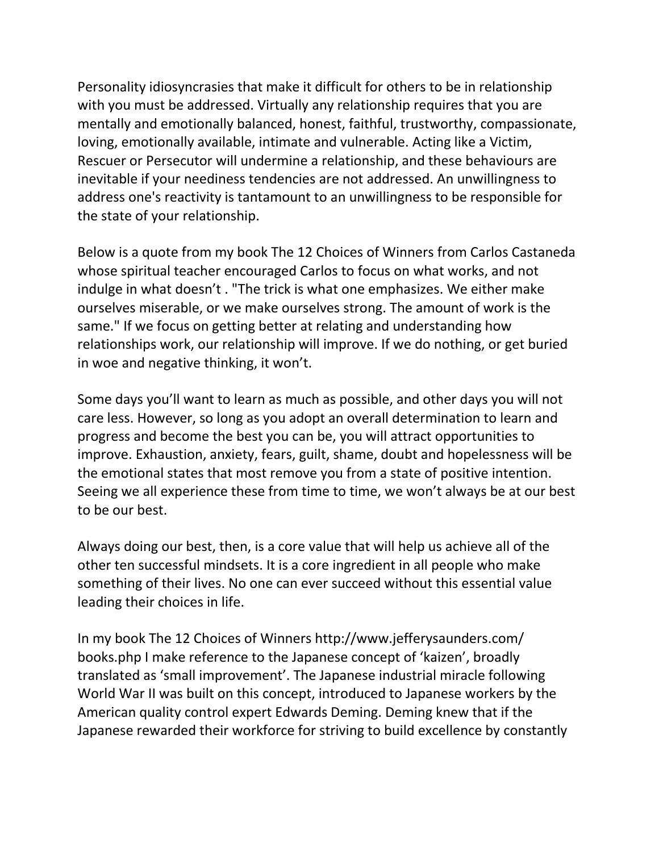Personality idiosyncrasies that make it difficult for others to be in relationship with you must be addressed. Virtually any relationship requires that you are mentally and emotionally balanced, honest, faithful, trustworthy, compassionate, loving, emotionally available, intimate and vulnerable. Acting like a Victim, Rescuer or Persecutor will undermine a relationship, and these behaviours are inevitable if your neediness tendencies are not addressed. An unwillingness to address one's reactivity is tantamount to an unwillingness to be responsible for the state of your relationship.

Below is a quote from my book The 12 Choices of Winners from Carlos Castaneda whose spiritual teacher encouraged Carlos to focus on what works, and not indulge in what doesn't . "The trick is what one emphasizes. We either make ourselves miserable, or we make ourselves strong. The amount of work is the same." If we focus on getting better at relating and understanding how relationships work, our relationship will improve. If we do nothing, or get buried in woe and negative thinking, it won't.

Some days you'll want to learn as much as possible, and other days you will not care less. However, so long as you adopt an overall determination to learn and progress and become the best you can be, you will attract opportunities to improve. Exhaustion, anxiety, fears, guilt, shame, doubt and hopelessness will be the emotional states that most remove you from a state of positive intention. Seeing we all experience these from time to time, we won't always be at our best to be our best.

Always doing our best, then, is a core value that will help us achieve all of the other ten successful mindsets. It is a core ingredient in all people who make something of their lives. No one can ever succeed without this essential value leading their choices in life.

In my book The 12 Choices of Winners http://www.jefferysaunders.com/ books.php I make reference to the Japanese concept of 'kaizen', broadly translated as 'small improvement'. The Japanese industrial miracle following World War II was built on this concept, introduced to Japanese workers by the American quality control expert Edwards Deming. Deming knew that if the Japanese rewarded their workforce for striving to build excellence by constantly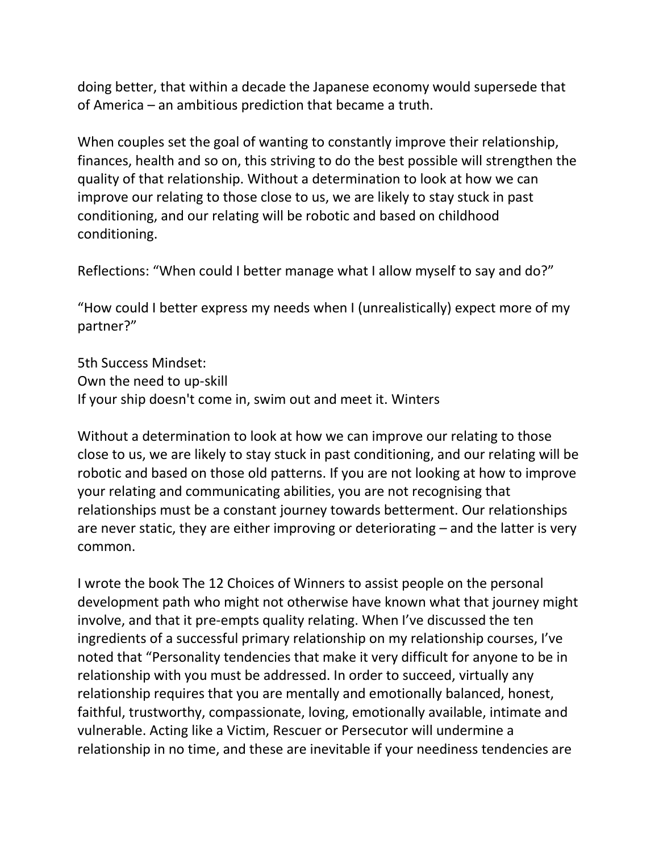doing better, that within a decade the Japanese economy would supersede that of America – an ambitious prediction that became a truth.

When couples set the goal of wanting to constantly improve their relationship, finances, health and so on, this striving to do the best possible will strengthen the quality of that relationship. Without a determination to look at how we can improve our relating to those close to us, we are likely to stay stuck in past conditioning, and our relating will be robotic and based on childhood conditioning.

Reflections: "When could I better manage what I allow myself to say and do?"

"How could I better express my needs when I (unrealistically) expect more of my partner?"

5th Success Mindset: Own the need to up-skill If your ship doesn't come in, swim out and meet it. Winters

Without a determination to look at how we can improve our relating to those close to us, we are likely to stay stuck in past conditioning, and our relating will be robotic and based on those old patterns. If you are not looking at how to improve your relating and communicating abilities, you are not recognising that relationships must be a constant journey towards betterment. Our relationships are never static, they are either improving or deteriorating – and the latter is very common.

I wrote the book The 12 Choices of Winners to assist people on the personal development path who might not otherwise have known what that journey might involve, and that it pre-empts quality relating. When I've discussed the ten ingredients of a successful primary relationship on my relationship courses, I've noted that "Personality tendencies that make it very difficult for anyone to be in relationship with you must be addressed. In order to succeed, virtually any relationship requires that you are mentally and emotionally balanced, honest, faithful, trustworthy, compassionate, loving, emotionally available, intimate and vulnerable. Acting like a Victim, Rescuer or Persecutor will undermine a relationship in no time, and these are inevitable if your neediness tendencies are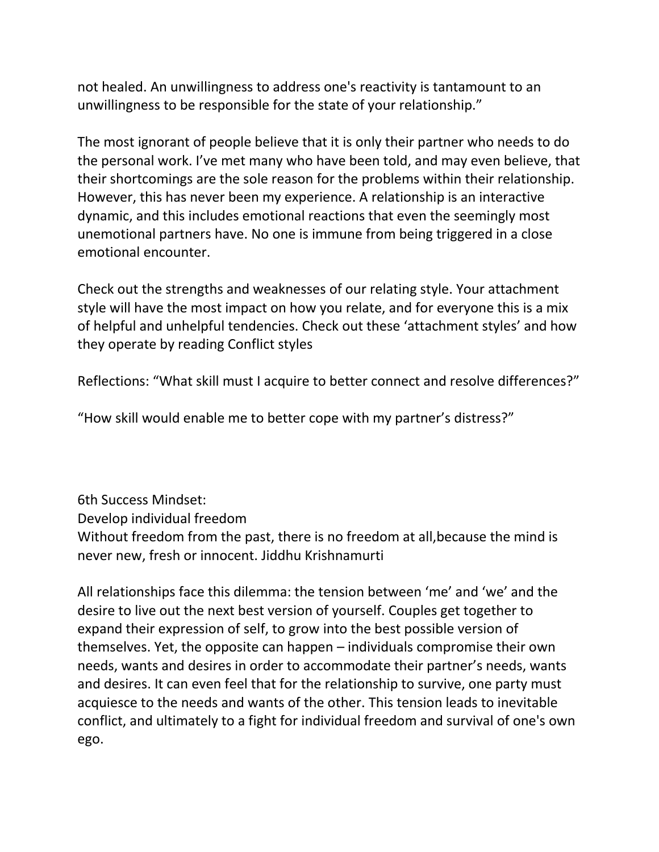not healed. An unwillingness to address one's reactivity is tantamount to an unwillingness to be responsible for the state of your relationship."

The most ignorant of people believe that it is only their partner who needs to do the personal work. I've met many who have been told, and may even believe, that their shortcomings are the sole reason for the problems within their relationship. However, this has never been my experience. A relationship is an interactive dynamic, and this includes emotional reactions that even the seemingly most unemotional partners have. No one is immune from being triggered in a close emotional encounter.

Check out the strengths and weaknesses of our relating style. Your attachment style will have the most impact on how you relate, and for everyone this is a mix of helpful and unhelpful tendencies. Check out these 'attachment styles' and how they operate by reading Conflict styles

Reflections: "What skill must I acquire to better connect and resolve differences?"

"How skill would enable me to better cope with my partner's distress?"

6th Success Mindset: Develop individual freedom Without freedom from the past, there is no freedom at all,because the mind is never new, fresh or innocent. Jiddhu Krishnamurti

All relationships face this dilemma: the tension between 'me' and 'we' and the desire to live out the next best version of yourself. Couples get together to expand their expression of self, to grow into the best possible version of themselves. Yet, the opposite can happen – individuals compromise their own needs, wants and desires in order to accommodate their partner's needs, wants and desires. It can even feel that for the relationship to survive, one party must acquiesce to the needs and wants of the other. This tension leads to inevitable conflict, and ultimately to a fight for individual freedom and survival of one's own ego.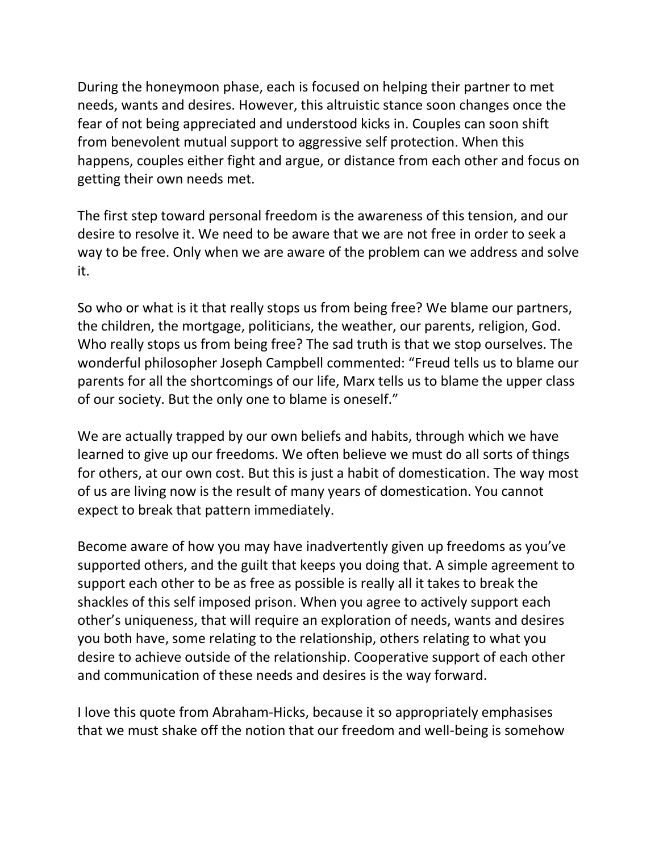During the honeymoon phase, each is focused on helping their partner to met needs, wants and desires. However, this altruistic stance soon changes once the fear of not being appreciated and understood kicks in. Couples can soon shift from benevolent mutual support to aggressive self protection. When this happens, couples either fight and argue, or distance from each other and focus on getting their own needs met.

The first step toward personal freedom is the awareness of this tension, and our desire to resolve it. We need to be aware that we are not free in order to seek a way to be free. Only when we are aware of the problem can we address and solve it.

So who or what is it that really stops us from being free? We blame our partners, the children, the mortgage, politicians, the weather, our parents, religion, God. Who really stops us from being free? The sad truth is that we stop ourselves. The wonderful philosopher Joseph Campbell commented: "Freud tells us to blame our parents for all the shortcomings of our life, Marx tells us to blame the upper class of our society. But the only one to blame is oneself."

We are actually trapped by our own beliefs and habits, through which we have learned to give up our freedoms. We often believe we must do all sorts of things for others, at our own cost. But this is just a habit of domestication. The way most of us are living now is the result of many years of domestication. You cannot expect to break that pattern immediately.

Become aware of how you may have inadvertently given up freedoms as you've supported others, and the guilt that keeps you doing that. A simple agreement to support each other to be as free as possible is really all it takes to break the shackles of this self imposed prison. When you agree to actively support each other's uniqueness, that will require an exploration of needs, wants and desires you both have, some relating to the relationship, others relating to what you desire to achieve outside of the relationship. Cooperative support of each other and communication of these needs and desires is the way forward.

I love this quote from Abraham-Hicks, because it so appropriately emphasises that we must shake off the notion that our freedom and well-being is somehow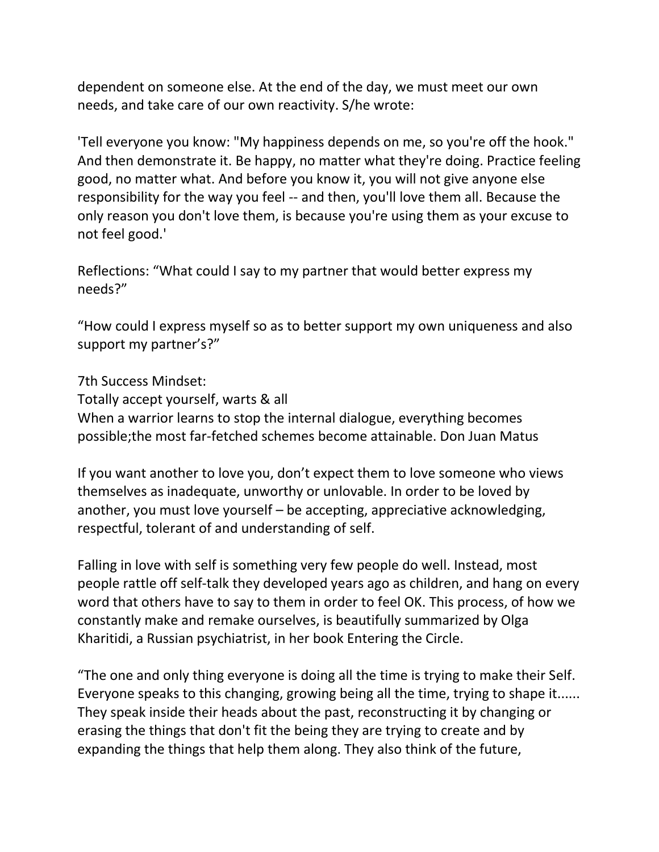dependent on someone else. At the end of the day, we must meet our own needs, and take care of our own reactivity. S/he wrote:

'Tell everyone you know: "My happiness depends on me, so you're off the hook." And then demonstrate it. Be happy, no matter what they're doing. Practice feeling good, no matter what. And before you know it, you will not give anyone else responsibility for the way you feel -- and then, you'll love them all. Because the only reason you don't love them, is because you're using them as your excuse to not feel good.'

Reflections: "What could I say to my partner that would better express my needs?"

"How could I express myself so as to better support my own uniqueness and also support my partner's?"

7th Success Mindset:

Totally accept yourself, warts & all When a warrior learns to stop the internal dialogue, everything becomes possible;the most far-fetched schemes become attainable. Don Juan Matus

If you want another to love you, don't expect them to love someone who views themselves as inadequate, unworthy or unlovable. In order to be loved by another, you must love yourself – be accepting, appreciative acknowledging, respectful, tolerant of and understanding of self.

Falling in love with self is something very few people do well. Instead, most people rattle off self-talk they developed years ago as children, and hang on every word that others have to say to them in order to feel OK. This process, of how we constantly make and remake ourselves, is beautifully summarized by Olga Kharitidi, a Russian psychiatrist, in her book Entering the Circle.

"The one and only thing everyone is doing all the time is trying to make their Self. Everyone speaks to this changing, growing being all the time, trying to shape it...... They speak inside their heads about the past, reconstructing it by changing or erasing the things that don't fit the being they are trying to create and by expanding the things that help them along. They also think of the future,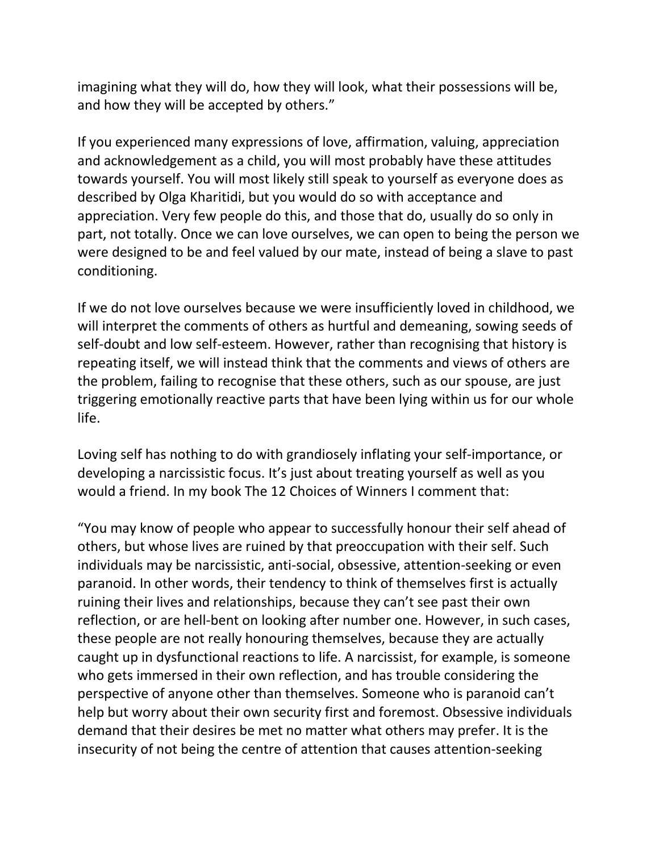imagining what they will do, how they will look, what their possessions will be, and how they will be accepted by others."

If you experienced many expressions of love, affirmation, valuing, appreciation and acknowledgement as a child, you will most probably have these attitudes towards yourself. You will most likely still speak to yourself as everyone does as described by Olga Kharitidi, but you would do so with acceptance and appreciation. Very few people do this, and those that do, usually do so only in part, not totally. Once we can love ourselves, we can open to being the person we were designed to be and feel valued by our mate, instead of being a slave to past conditioning.

If we do not love ourselves because we were insufficiently loved in childhood, we will interpret the comments of others as hurtful and demeaning, sowing seeds of self-doubt and low self-esteem. However, rather than recognising that history is repeating itself, we will instead think that the comments and views of others are the problem, failing to recognise that these others, such as our spouse, are just triggering emotionally reactive parts that have been lying within us for our whole life.

Loving self has nothing to do with grandiosely inflating your self-importance, or developing a narcissistic focus. It's just about treating yourself as well as you would a friend. In my book The 12 Choices of Winners I comment that:

"You may know of people who appear to successfully honour their self ahead of others, but whose lives are ruined by that preoccupation with their self. Such individuals may be narcissistic, anti-social, obsessive, attention-seeking or even paranoid. In other words, their tendency to think of themselves first is actually ruining their lives and relationships, because they can't see past their own reflection, or are hell-bent on looking after number one. However, in such cases, these people are not really honouring themselves, because they are actually caught up in dysfunctional reactions to life. A narcissist, for example, is someone who gets immersed in their own reflection, and has trouble considering the perspective of anyone other than themselves. Someone who is paranoid can't help but worry about their own security first and foremost. Obsessive individuals demand that their desires be met no matter what others may prefer. It is the insecurity of not being the centre of attention that causes attention-seeking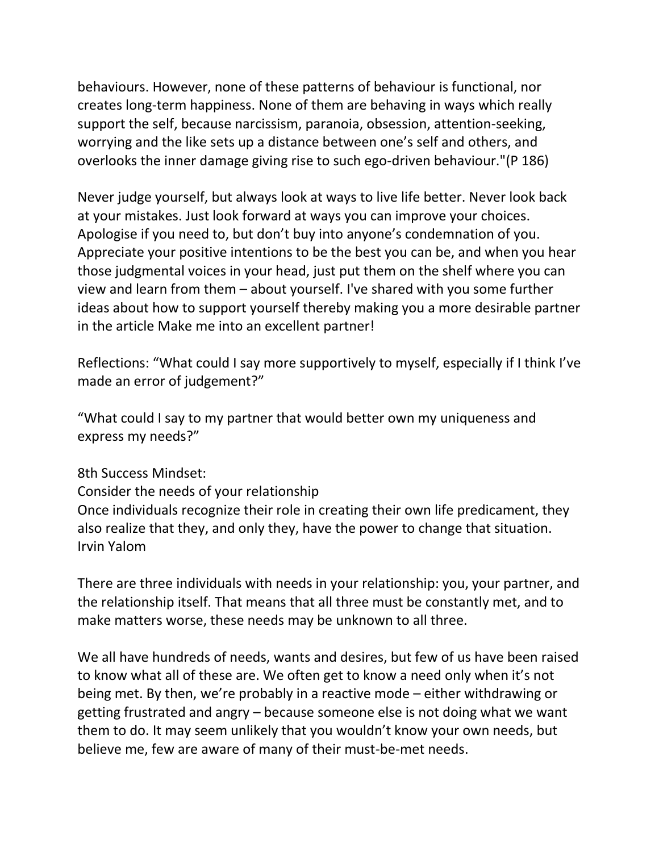behaviours. However, none of these patterns of behaviour is functional, nor creates long-term happiness. None of them are behaving in ways which really support the self, because narcissism, paranoia, obsession, attention-seeking, worrying and the like sets up a distance between one's self and others, and overlooks the inner damage giving rise to such ego-driven behaviour."(P 186)

Never judge yourself, but always look at ways to live life better. Never look back at your mistakes. Just look forward at ways you can improve your choices. Apologise if you need to, but don't buy into anyone's condemnation of you. Appreciate your positive intentions to be the best you can be, and when you hear those judgmental voices in your head, just put them on the shelf where you can view and learn from them – about yourself. I've shared with you some further ideas about how to support yourself thereby making you a more desirable partner in the article Make me into an excellent partner!

Reflections: "What could I say more supportively to myself, especially if I think I've made an error of judgement?"

"What could I say to my partner that would better own my uniqueness and express my needs?"

8th Success Mindset:

Consider the needs of your relationship

Once individuals recognize their role in creating their own life predicament, they also realize that they, and only they, have the power to change that situation. Irvin Yalom

There are three individuals with needs in your relationship: you, your partner, and the relationship itself. That means that all three must be constantly met, and to make matters worse, these needs may be unknown to all three.

We all have hundreds of needs, wants and desires, but few of us have been raised to know what all of these are. We often get to know a need only when it's not being met. By then, we're probably in a reactive mode – either withdrawing or getting frustrated and angry – because someone else is not doing what we want them to do. It may seem unlikely that you wouldn't know your own needs, but believe me, few are aware of many of their must-be-met needs.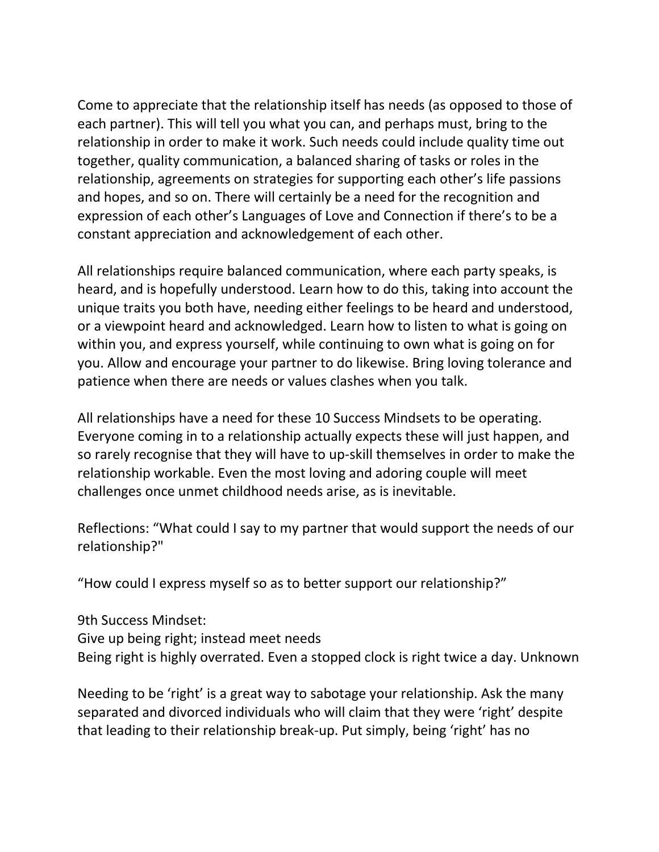Come to appreciate that the relationship itself has needs (as opposed to those of each partner). This will tell you what you can, and perhaps must, bring to the relationship in order to make it work. Such needs could include quality time out together, quality communication, a balanced sharing of tasks or roles in the relationship, agreements on strategies for supporting each other's life passions and hopes, and so on. There will certainly be a need for the recognition and expression of each other's Languages of Love and Connection if there's to be a constant appreciation and acknowledgement of each other.

All relationships require balanced communication, where each party speaks, is heard, and is hopefully understood. Learn how to do this, taking into account the unique traits you both have, needing either feelings to be heard and understood, or a viewpoint heard and acknowledged. Learn how to listen to what is going on within you, and express yourself, while continuing to own what is going on for you. Allow and encourage your partner to do likewise. Bring loving tolerance and patience when there are needs or values clashes when you talk.

All relationships have a need for these 10 Success Mindsets to be operating. Everyone coming in to a relationship actually expects these will just happen, and so rarely recognise that they will have to up-skill themselves in order to make the relationship workable. Even the most loving and adoring couple will meet challenges once unmet childhood needs arise, as is inevitable.

Reflections: "What could I say to my partner that would support the needs of our relationship?"

"How could I express myself so as to better support our relationship?"

9th Success Mindset: Give up being right; instead meet needs Being right is highly overrated. Even a stopped clock is right twice a day. Unknown

Needing to be 'right' is a great way to sabotage your relationship. Ask the many separated and divorced individuals who will claim that they were 'right' despite that leading to their relationship break-up. Put simply, being 'right' has no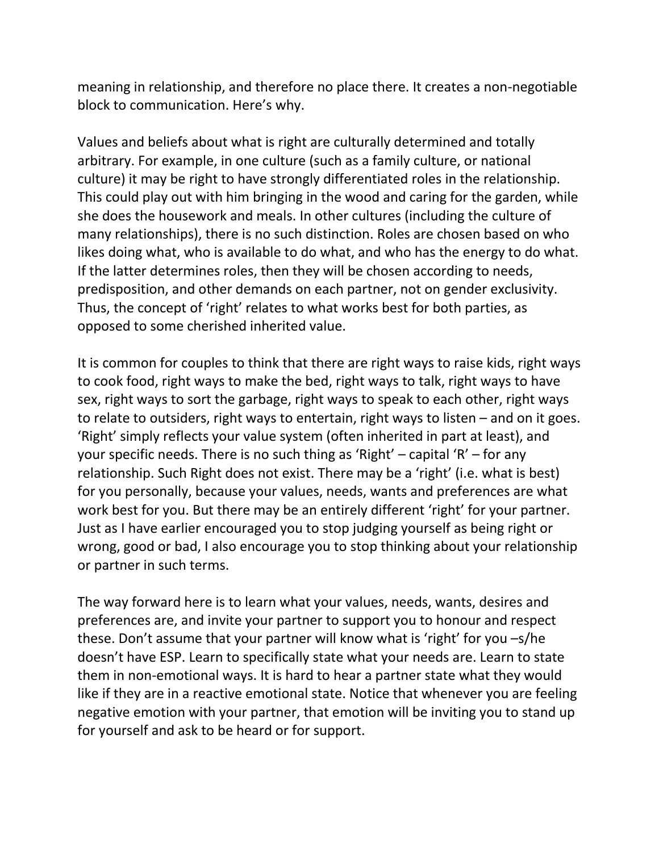meaning in relationship, and therefore no place there. It creates a non-negotiable block to communication. Here's why.

Values and beliefs about what is right are culturally determined and totally arbitrary. For example, in one culture (such as a family culture, or national culture) it may be right to have strongly differentiated roles in the relationship. This could play out with him bringing in the wood and caring for the garden, while she does the housework and meals. In other cultures (including the culture of many relationships), there is no such distinction. Roles are chosen based on who likes doing what, who is available to do what, and who has the energy to do what. If the latter determines roles, then they will be chosen according to needs, predisposition, and other demands on each partner, not on gender exclusivity. Thus, the concept of 'right' relates to what works best for both parties, as opposed to some cherished inherited value.

It is common for couples to think that there are right ways to raise kids, right ways to cook food, right ways to make the bed, right ways to talk, right ways to have sex, right ways to sort the garbage, right ways to speak to each other, right ways to relate to outsiders, right ways to entertain, right ways to listen – and on it goes. 'Right' simply reflects your value system (often inherited in part at least), and your specific needs. There is no such thing as 'Right' – capital 'R' – for any relationship. Such Right does not exist. There may be a 'right' (i.e. what is best) for you personally, because your values, needs, wants and preferences are what work best for you. But there may be an entirely different 'right' for your partner. Just as I have earlier encouraged you to stop judging yourself as being right or wrong, good or bad, I also encourage you to stop thinking about your relationship or partner in such terms.

The way forward here is to learn what your values, needs, wants, desires and preferences are, and invite your partner to support you to honour and respect these. Don't assume that your partner will know what is 'right' for you –s/he doesn't have ESP. Learn to specifically state what your needs are. Learn to state them in non-emotional ways. It is hard to hear a partner state what they would like if they are in a reactive emotional state. Notice that whenever you are feeling negative emotion with your partner, that emotion will be inviting you to stand up for yourself and ask to be heard or for support.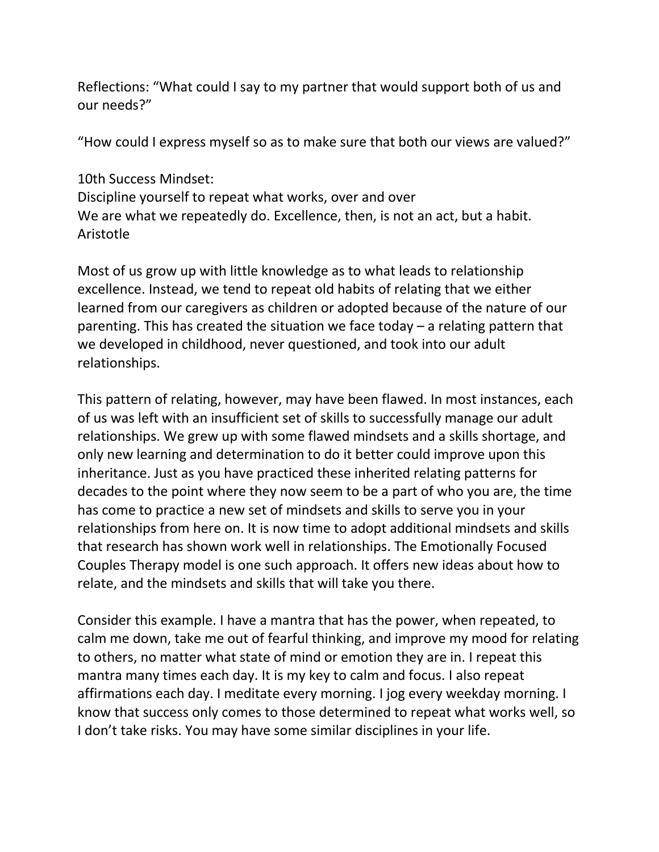Reflections: "What could I say to my partner that would support both of us and our needs?"

"How could I express myself so as to make sure that both our views are valued?"

10th Success Mindset: Discipline yourself to repeat what works, over and over We are what we repeatedly do. Excellence, then, is not an act, but a habit. Aristotle

Most of us grow up with little knowledge as to what leads to relationship excellence. Instead, we tend to repeat old habits of relating that we either learned from our caregivers as children or adopted because of the nature of our parenting. This has created the situation we face today – a relating pattern that we developed in childhood, never questioned, and took into our adult relationships.

This pattern of relating, however, may have been flawed. In most instances, each of us was left with an insufficient set of skills to successfully manage our adult relationships. We grew up with some flawed mindsets and a skills shortage, and only new learning and determination to do it better could improve upon this inheritance. Just as you have practiced these inherited relating patterns for decades to the point where they now seem to be a part of who you are, the time has come to practice a new set of mindsets and skills to serve you in your relationships from here on. It is now time to adopt additional mindsets and skills that research has shown work well in relationships. The Emotionally Focused Couples Therapy model is one such approach. It offers new ideas about how to relate, and the mindsets and skills that will take you there.

Consider this example. I have a mantra that has the power, when repeated, to calm me down, take me out of fearful thinking, and improve my mood for relating to others, no matter what state of mind or emotion they are in. I repeat this mantra many times each day. It is my key to calm and focus. I also repeat affirmations each day. I meditate every morning. I jog every weekday morning. I know that success only comes to those determined to repeat what works well, so I don't take risks. You may have some similar disciplines in your life.